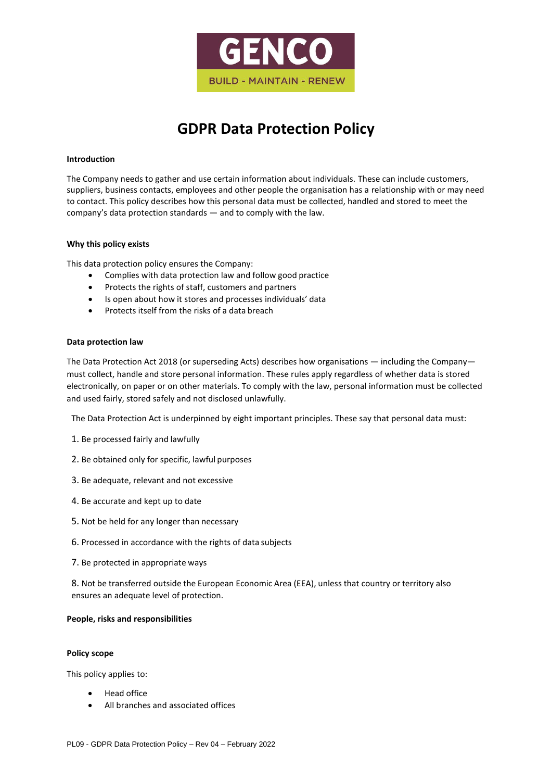

# **GDPR Data Protection Policy**

#### **Introduction**

The Company needs to gather and use certain information about individuals. These can include customers, suppliers, business contacts, employees and other people the organisation has a relationship with or may need to contact. This policy describes how this personal data must be collected, handled and stored to meet the company's data protection standards — and to comply with the law.

#### **Why this policy exists**

This data protection policy ensures the Company:

- Complies with data protection law and follow good practice
- Protects the rights of staff, customers and partners
- Is open about how it stores and processes individuals' data
- Protects itself from the risks of a data breach

#### **Data protection law**

The Data Protection Act 2018 (or superseding Acts) describes how organisations — including the Company must collect, handle and store personal information. These rules apply regardless of whether data is stored electronically, on paper or on other materials. To comply with the law, personal information must be collected and used fairly, stored safely and not disclosed unlawfully.

The Data Protection Act is underpinned by eight important principles. These say that personal data must:

- 1. Be processed fairly and lawfully
- 2. Be obtained only for specific, lawful purposes
- 3. Be adequate, relevant and not excessive
- 4. Be accurate and kept up to date
- 5. Not be held for any longer than necessary
- 6. Processed in accordance with the rights of data subjects
- 7. Be protected in appropriate ways

8. Not be transferred outside the European Economic Area (EEA), unless that country or territory also ensures an adequate level of protection.

#### **People, risks and responsibilities**

#### **Policy scope**

This policy applies to:

- Head office
- All branches and associated offices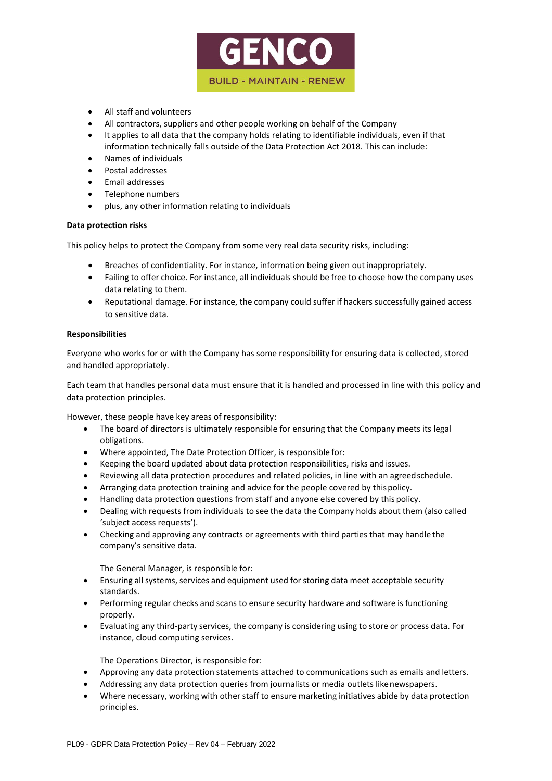

- All staff and volunteers
- All contractors, suppliers and other people working on behalf of the Company
- It applies to all data that the company holds relating to identifiable individuals, even if that information technically falls outside of the Data Protection Act 2018. This can include:
- Names of individuals
- Postal addresses
- Email addresses
- Telephone numbers
- plus, any other information relating to individuals

# **Data protection risks**

This policy helps to protect the Company from some very real data security risks, including:

- Breaches of confidentiality. For instance, information being given out inappropriately.
- Failing to offer choice. For instance, all individuals should be free to choose how the company uses data relating to them.
- Reputational damage. For instance, the company could suffer if hackers successfully gained access to sensitive data.

# **Responsibilities**

Everyone who works for or with the Company has some responsibility for ensuring data is collected, stored and handled appropriately.

Each team that handles personal data must ensure that it is handled and processed in line with this policy and data protection principles.

However, these people have key areas of responsibility:

- The board of directors is ultimately responsible for ensuring that the Company meets its legal obligations.
- Where appointed, The Date Protection Officer, is responsible for:
- Keeping the board updated about data protection responsibilities, risks and issues.
- Reviewing all data protection procedures and related policies, in line with an agreedschedule.
- Arranging data protection training and advice for the people covered by thispolicy.
- Handling data protection questions from staff and anyone else covered by this policy.
- Dealing with requests from individuals to see the data the Company holds about them (also called 'subject access requests').
- Checking and approving any contracts or agreements with third parties that may handle the company's sensitive data.

The General Manager, is responsible for:

- Ensuring all systems, services and equipment used forstoring data meet acceptable security standards.
- Performing regular checks and scans to ensure security hardware and software is functioning properly.
- Evaluating any third-party services, the company is considering using to store or process data. For instance, cloud computing services.

The Operations Director, is responsible for:

- Approving any data protection statements attached to communications such as emails and letters.
- Addressing any data protection queries from journalists or media outlets likenewspapers.
- Where necessary, working with other staff to ensure marketing initiatives abide by data protection principles.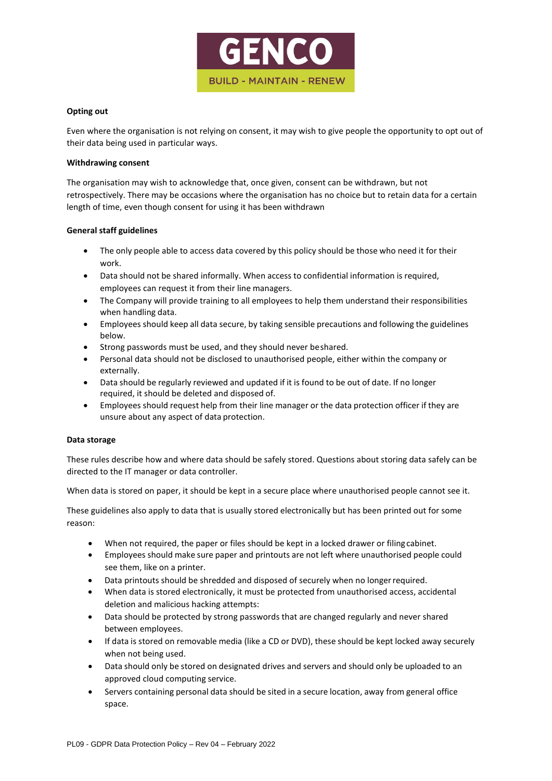

# **Opting out**

Even where the organisation is not relying on consent, it may wish to give people the opportunity to opt out of their data being used in particular ways.

# **Withdrawing consent**

The organisation may wish to acknowledge that, once given, consent can be withdrawn, but not retrospectively. There may be occasions where the organisation has no choice but to retain data for a certain length of time, even though consent for using it has been withdrawn

# **General staff guidelines**

- The only people able to access data covered by this policy should be those who need it for their work.
- Data should not be shared informally. When access to confidential information is required, employees can request it from their line managers.
- The Company will provide training to all employees to help them understand their responsibilities when handling data.
- Employees should keep all data secure, by taking sensible precautions and following the guidelines below.
- Strong passwords must be used, and they should never beshared.
- Personal data should not be disclosed to unauthorised people, either within the company or externally.
- Data should be regularly reviewed and updated if it is found to be out of date. If no longer required, it should be deleted and disposed of.
- Employees should request help from their line manager or the data protection officer if they are unsure about any aspect of data protection.

# **Data storage**

These rules describe how and where data should be safely stored. Questions about storing data safely can be directed to the IT manager or data controller.

When data is stored on paper, it should be kept in a secure place where unauthorised people cannot see it.

These guidelines also apply to data that is usually stored electronically but has been printed out for some reason:

- When not required, the paper or files should be kept in a locked drawer or filingcabinet.
- Employees should make sure paper and printouts are not left where unauthorised people could see them, like on a printer.
- Data printouts should be shredded and disposed of securely when no longerrequired.
- When data is stored electronically, it must be protected from unauthorised access, accidental deletion and malicious hacking attempts:
- Data should be protected by strong passwords that are changed regularly and never shared between employees.
- If data is stored on removable media (like a CD or DVD), these should be kept locked away securely when not being used.
- Data should only be stored on designated drives and servers and should only be uploaded to an approved cloud computing service.
- Servers containing personal data should be sited in a secure location, away from general office space.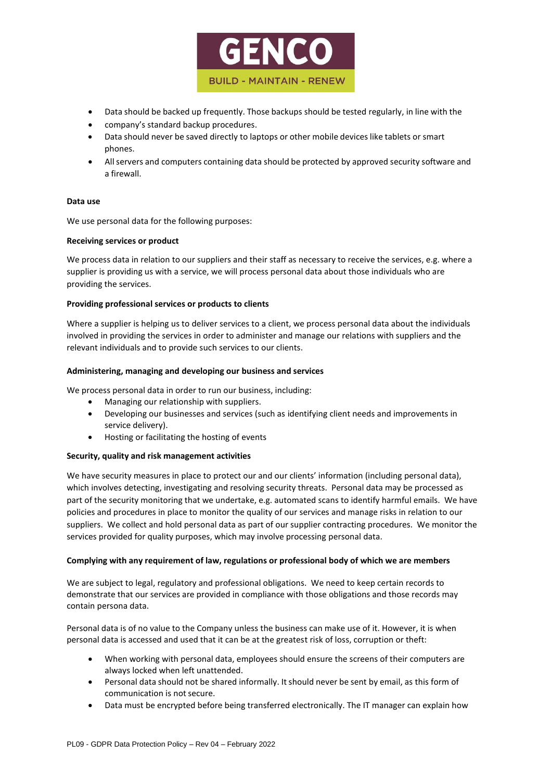

- Data should be backed up frequently. Those backups should be tested regularly, in line with the
- company's standard backup procedures.
- Data should never be saved directly to laptops or other mobile devices like tablets or smart phones.
- Allservers and computers containing data should be protected by approved security software and a firewall.

# **Data use**

We use personal data for the following purposes:

#### **Receiving services or product**

We process data in relation to our suppliers and their staff as necessary to receive the services, e.g. where a supplier is providing us with a service, we will process personal data about those individuals who are providing the services.

# **Providing professional services or products to clients**

Where a supplier is helping us to deliver services to a client, we process personal data about the individuals involved in providing the services in order to administer and manage our relations with suppliers and the relevant individuals and to provide such services to our clients.

#### **Administering, managing and developing our business and services**

We process personal data in order to run our business, including:

- Managing our relationship with suppliers.
- Developing our businesses and services (such as identifying client needs and improvements in service delivery).
- Hosting or facilitating the hosting of events

# **Security, quality and risk management activities**

We have security measures in place to protect our and our clients' information (including personal data), which involves detecting, investigating and resolving security threats. Personal data may be processed as part of the security monitoring that we undertake, e.g. automated scans to identify harmful emails. We have policies and procedures in place to monitor the quality of our services and manage risks in relation to our suppliers. We collect and hold personal data as part of our supplier contracting procedures. We monitor the services provided for quality purposes, which may involve processing personal data.

# **Complying with any requirement of law, regulations or professional body of which we are members**

We are subject to legal, regulatory and professional obligations. We need to keep certain records to demonstrate that our services are provided in compliance with those obligations and those records may contain persona data.

Personal data is of no value to the Company unless the business can make use of it. However, it is when personal data is accessed and used that it can be at the greatest risk of loss, corruption or theft:

- When working with personal data, employees should ensure the screens of their computers are always locked when left unattended.
- Personal data should not be shared informally. It should never be sent by email, as this form of communication is not secure.
- Data must be encrypted before being transferred electronically. The IT manager can explain how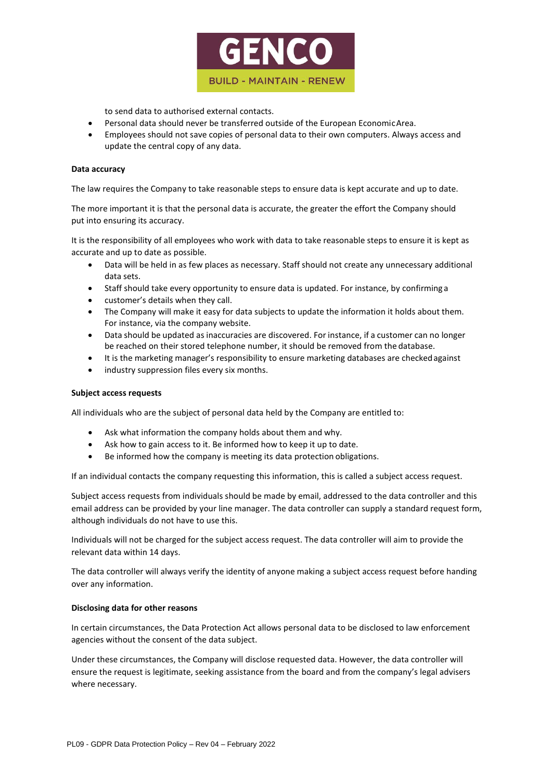

to send data to authorised external contacts.

- Personal data should never be transferred outside of the European EconomicArea.
- Employees should not save copies of personal data to their own computers. Always access and update the central copy of any data.

#### **Data accuracy**

The law requires the Company to take reasonable steps to ensure data is kept accurate and up to date.

The more important it is that the personal data is accurate, the greater the effort the Company should put into ensuring its accuracy.

It is the responsibility of all employees who work with data to take reasonable steps to ensure it is kept as accurate and up to date as possible.

- Data will be held in as few places as necessary. Staff should not create any unnecessary additional data sets.
- Staff should take every opportunity to ensure data is updated. For instance, by confirming a
- customer's details when they call.
- The Company will make it easy for data subjects to update the information it holds about them. For instance, via the company website.
- Data should be updated as inaccuracies are discovered. For instance, if a customer can no longer be reached on their stored telephone number, it should be removed from the database.
- It is the marketing manager's responsibility to ensure marketing databases are checkedagainst
- industry suppression files every six months.

#### **Subject access requests**

All individuals who are the subject of personal data held by the Company are entitled to:

- Ask what information the company holds about them and why.
- Ask how to gain access to it. Be informed how to keep it up to date.
- Be informed how the company is meeting its data protection obligations.

If an individual contacts the company requesting this information, this is called a subject access request.

Subject access requests from individuals should be made by email, addressed to the data controller and this email address can be provided by your line manager. The data controller can supply a standard request form, although individuals do not have to use this.

Individuals will not be charged for the subject access request. The data controller will aim to provide the relevant data within 14 days.

The data controller will always verify the identity of anyone making a subject access request before handing over any information.

# **Disclosing data for other reasons**

In certain circumstances, the Data Protection Act allows personal data to be disclosed to law enforcement agencies without the consent of the data subject.

Under these circumstances, the Company will disclose requested data. However, the data controller will ensure the request is legitimate, seeking assistance from the board and from the company's legal advisers where necessary.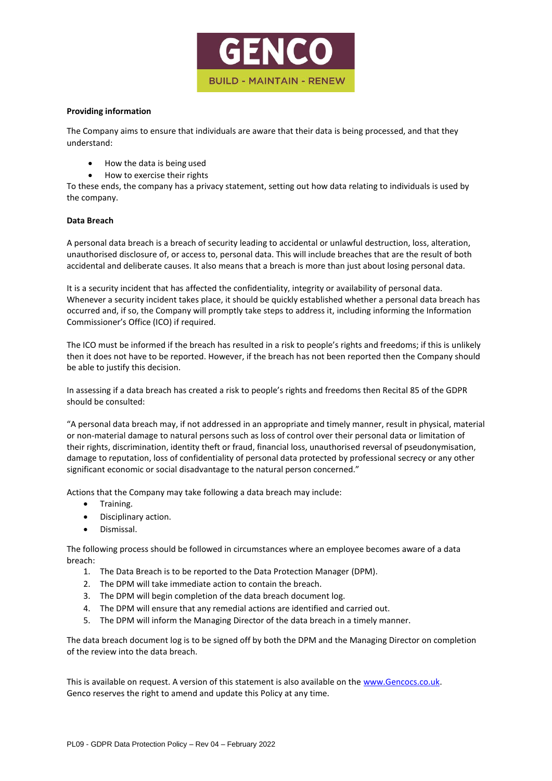

#### **Providing information**

The Company aims to ensure that individuals are aware that their data is being processed, and that they understand:

- How the data is being used
- How to exercise their rights

To these ends, the company has a privacy statement, setting out how data relating to individuals is used by the company.

# **Data Breach**

A personal data breach is a breach of security leading to accidental or unlawful destruction, loss, alteration, unauthorised disclosure of, or access to, personal data. This will include breaches that are the result of both accidental and deliberate causes. It also means that a breach is more than just about losing personal data.

It is a security incident that has affected the confidentiality, integrity or availability of personal data. Whenever a security incident takes place, it should be quickly established whether a personal data breach has occurred and, if so, the Company will promptly take steps to address it, including informing the Information Commissioner's Office (ICO) if required.

The ICO must be informed if the breach has resulted in a risk to people's rights and freedoms; if this is unlikely then it does not have to be reported. However, if the breach has not been reported then the Company should be able to justify this decision.

In assessing if a data breach has created a risk to people's rights and freedoms then Recital 85 of the GDPR should be consulted:

"A personal data breach may, if not addressed in an appropriate and timely manner, result in physical, material or non-material damage to natural persons such as loss of control over their personal data or limitation of their rights, discrimination, identity theft or fraud, financial loss, unauthorised reversal of pseudonymisation, damage to reputation, loss of confidentiality of personal data protected by professional secrecy or any other significant economic or social disadvantage to the natural person concerned."

Actions that the Company may take following a data breach may include:

- Training.
- Disciplinary action.
- Dismissal.

The following process should be followed in circumstances where an employee becomes aware of a data breach:

- 1. The Data Breach is to be reported to the Data Protection Manager (DPM).
- 2. The DPM will take immediate action to contain the breach.
- 3. The DPM will begin completion of the data breach document log.
- 4. The DPM will ensure that any remedial actions are identified and carried out.
- 5. The DPM will inform the Managing Director of the data breach in a timely manner.

The data breach document log is to be signed off by both the DPM and the Managing Director on completion of the review into the data breach.

This is available on request. A version of this statement is also available on the [www.Gencocs.co.uk.](http://www.gencocs.co.uk/) Genco reserves the right to amend and update this Policy at any time.